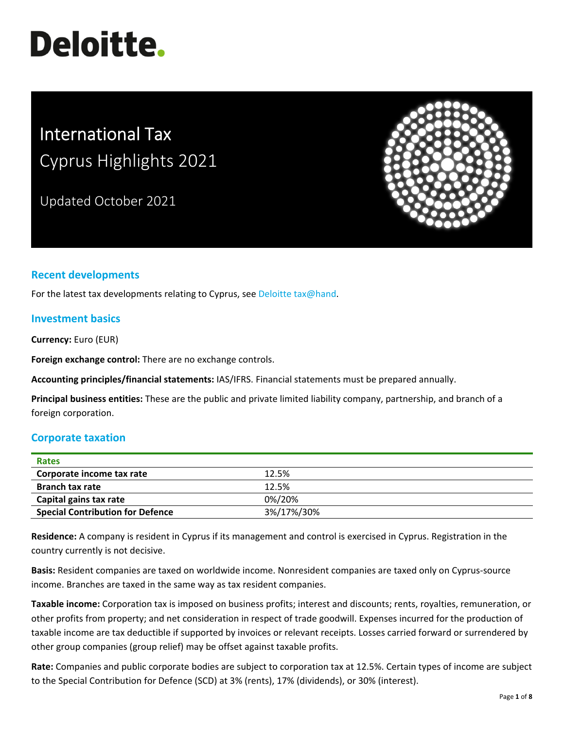# **Deloitte.**

# International Tax Cyprus Highlights 2021

Updated October 2021



# **Recent developments**

For the latest tax developments relating to Cyprus, see Deloitte tax@hand.

#### **Investment basics**

**Currency:** Euro (EUR)

**Foreign exchange control:** There are no exchange controls.

**Accounting principles/financial statements:** IAS/IFRS. Financial statements must be prepared annually.

**Principal business entities:** These are the public and private limited liability company, partnership, and branch of a foreign corporation.

#### **Corporate taxation**

| <b>Rates</b>                            |            |
|-----------------------------------------|------------|
| Corporate income tax rate               | 12.5%      |
| <b>Branch tax rate</b>                  | 12.5%      |
| Capital gains tax rate                  | 0%/20%     |
| <b>Special Contribution for Defence</b> | 3%/17%/30% |

**Residence:** A company is resident in Cyprus if its management and control is exercised in Cyprus. Registration in the country currently is not decisive.

**Basis:** Resident companies are taxed on worldwide income. Nonresident companies are taxed only on Cyprus‐source income. Branches are taxed in the same way as tax resident companies.

**Taxable income:** Corporation tax is imposed on business profits; interest and discounts; rents, royalties, remuneration, or other profits from property; and net consideration in respect of trade goodwill. Expenses incurred for the production of taxable income are tax deductible if supported by invoices or relevant receipts. Losses carried forward or surrendered by other group companies (group relief) may be offset against taxable profits.

**Rate:** Companies and public corporate bodies are subject to corporation tax at 12.5%. Certain types of income are subject to the Special Contribution for Defence (SCD) at 3% (rents), 17% (dividends), or 30% (interest).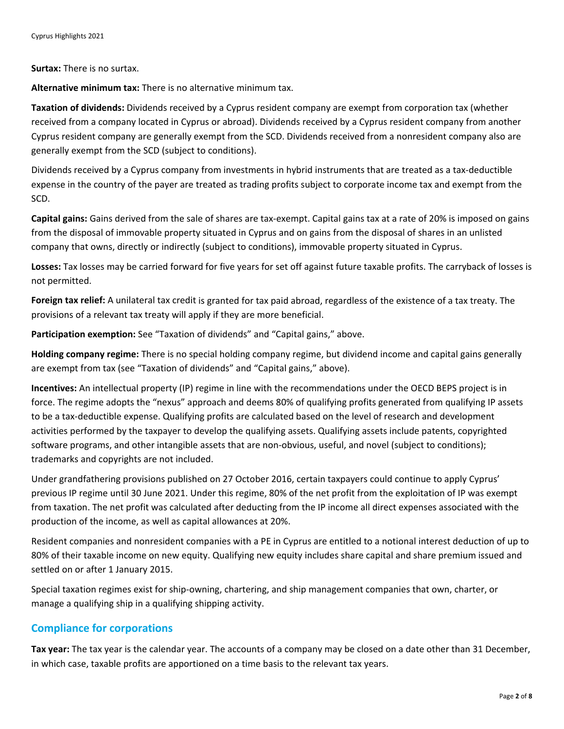**Surtax:** There is no surtax.

**Alternative minimum tax:** There is no alternative minimum tax.

**Taxation of dividends:** Dividends received by a Cyprus resident company are exempt from corporation tax (whether received from a company located in Cyprus or abroad). Dividends received by a Cyprus resident company from another Cyprus resident company are generally exempt from the SCD. Dividends received from a nonresident company also are generally exempt from the SCD (subject to conditions).

Dividends received by a Cyprus company from investments in hybrid instruments that are treated as a tax‐deductible expense in the country of the payer are treated as trading profits subject to corporate income tax and exempt from the SCD.

**Capital gains:** Gains derived from the sale of shares are tax‐exempt. Capital gains tax at a rate of 20% is imposed on gains from the disposal of immovable property situated in Cyprus and on gains from the disposal of shares in an unlisted company that owns, directly or indirectly (subject to conditions), immovable property situated in Cyprus.

**Losses:** Tax losses may be carried forward for five years for set off against future taxable profits. The carryback of losses is not permitted.

**Foreign tax relief:** A unilateral tax credit is granted for tax paid abroad, regardless of the existence of a tax treaty. The provisions of a relevant tax treaty will apply if they are more beneficial.

**Participation exemption:** See "Taxation of dividends" and "Capital gains," above.

**Holding company regime:** There is no special holding company regime, but dividend income and capital gains generally are exempt from tax (see "Taxation of dividends" and "Capital gains," above).

**Incentives:** An intellectual property (IP) regime in line with the recommendations under the OECD BEPS project is in force. The regime adopts the "nexus" approach and deems 80% of qualifying profits generated from qualifying IP assets to be a tax‐deductible expense. Qualifying profits are calculated based on the level of research and development activities performed by the taxpayer to develop the qualifying assets. Qualifying assets include patents, copyrighted software programs, and other intangible assets that are non-obvious, useful, and novel (subject to conditions); trademarks and copyrights are not included.

Under grandfathering provisions published on 27 October 2016, certain taxpayers could continue to apply Cyprus' previous IP regime until 30 June 2021. Under this regime, 80% of the net profit from the exploitation of IP was exempt from taxation. The net profit was calculated after deducting from the IP income all direct expenses associated with the production of the income, as well as capital allowances at 20%.

Resident companies and nonresident companies with a PE in Cyprus are entitled to a notional interest deduction of up to 80% of their taxable income on new equity. Qualifying new equity includes share capital and share premium issued and settled on or after 1 January 2015.

Special taxation regimes exist for ship‐owning, chartering, and ship management companies that own, charter, or manage a qualifying ship in a qualifying shipping activity.

#### **Compliance for corporations**

**Tax year:** The tax year is the calendar year. The accounts of a company may be closed on a date other than 31 December, in which case, taxable profits are apportioned on a time basis to the relevant tax years.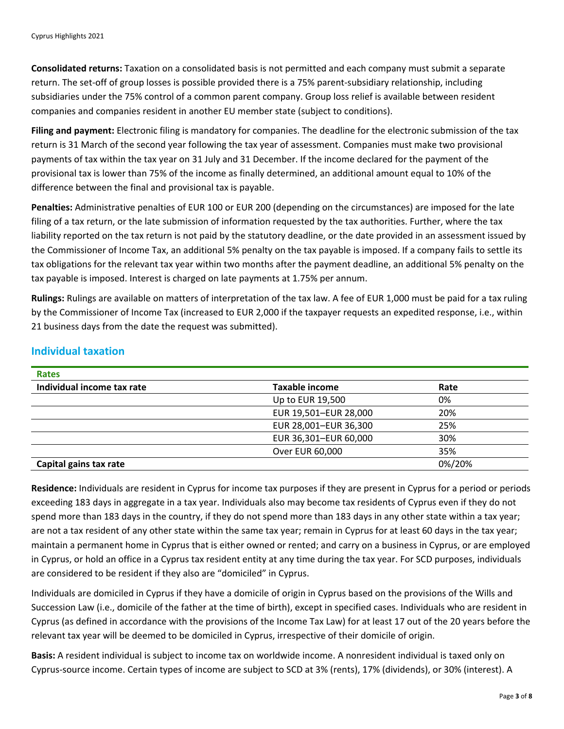**Consolidated returns:** Taxation on a consolidated basis is not permitted and each company must submit a separate return. The set‐off of group losses is possible provided there is a 75% parent‐subsidiary relationship, including subsidiaries under the 75% control of a common parent company. Group loss relief is available between resident companies and companies resident in another EU member state (subject to conditions).

**Filing and payment:** Electronic filing is mandatory for companies. The deadline for the electronic submission of the tax return is 31 March of the second year following the tax year of assessment. Companies must make two provisional payments of tax within the tax year on 31 July and 31 December. If the income declared for the payment of the provisional tax is lower than 75% of the income as finally determined, an additional amount equal to 10% of the difference between the final and provisional tax is payable.

**Penalties:** Administrative penalties of EUR 100 or EUR 200 (depending on the circumstances) are imposed for the late filing of a tax return, or the late submission of information requested by the tax authorities. Further, where the tax liability reported on the tax return is not paid by the statutory deadline, or the date provided in an assessment issued by the Commissioner of Income Tax, an additional 5% penalty on the tax payable is imposed. If a company fails to settle its tax obligations for the relevant tax year within two months after the payment deadline, an additional 5% penalty on the tax payable is imposed. Interest is charged on late payments at 1.75% per annum.

**Rulings:** Rulings are available on matters of interpretation of the tax law. A fee of EUR 1,000 must be paid for a tax ruling by the Commissioner of Income Tax (increased to EUR 2,000 if the taxpayer requests an expedited response, i.e., within 21 business days from the date the request was submitted).

# **Individual taxation**

| <b>Rates</b>               |                       |        |
|----------------------------|-----------------------|--------|
| Individual income tax rate | <b>Taxable income</b> | Rate   |
|                            | Up to EUR 19,500      | 0%     |
|                            | EUR 19,501-EUR 28,000 | 20%    |
|                            | EUR 28,001-EUR 36,300 | 25%    |
|                            | EUR 36,301-EUR 60,000 | 30%    |
|                            | Over EUR 60,000       | 35%    |
| Capital gains tax rate     |                       | 0%/20% |

**Residence:** Individuals are resident in Cyprus for income tax purposes if they are present in Cyprus for a period or periods exceeding 183 days in aggregate in a tax year. Individuals also may become tax residents of Cyprus even if they do not spend more than 183 days in the country, if they do not spend more than 183 days in any other state within a tax year; are not a tax resident of any other state within the same tax year; remain in Cyprus for at least 60 days in the tax year; maintain a permanent home in Cyprus that is either owned or rented; and carry on a business in Cyprus, or are employed in Cyprus, or hold an office in a Cyprus tax resident entity at any time during the tax year. For SCD purposes, individuals are considered to be resident if they also are "domiciled" in Cyprus.

Individuals are domiciled in Cyprus if they have a domicile of origin in Cyprus based on the provisions of the Wills and Succession Law (i.e., domicile of the father at the time of birth), except in specified cases. Individuals who are resident in Cyprus (as defined in accordance with the provisions of the Income Tax Law) for at least 17 out of the 20 years before the relevant tax year will be deemed to be domiciled in Cyprus, irrespective of their domicile of origin.

**Basis:** A resident individual is subject to income tax on worldwide income. A nonresident individual is taxed only on Cyprus‐source income. Certain types of income are subject to SCD at 3% (rents), 17% (dividends), or 30% (interest). A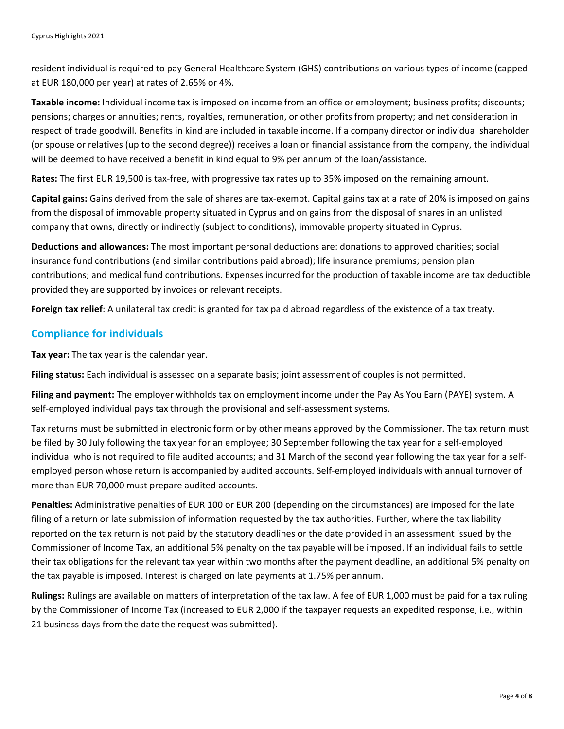resident individual is required to pay General Healthcare System (GHS) contributions on various types of income (capped at EUR 180,000 per year) at rates of 2.65% or 4%.

**Taxable income:** Individual income tax is imposed on income from an office or employment; business profits; discounts; pensions; charges or annuities; rents, royalties, remuneration, or other profits from property; and net consideration in respect of trade goodwill. Benefits in kind are included in taxable income. If a company director or individual shareholder (or spouse or relatives (up to the second degree)) receives a loan or financial assistance from the company, the individual will be deemed to have received a benefit in kind equal to 9% per annum of the loan/assistance.

**Rates:** The first EUR 19,500 is tax‐free, with progressive tax rates up to 35% imposed on the remaining amount.

**Capital gains:** Gains derived from the sale of shares are tax‐exempt. Capital gains tax at a rate of 20% is imposed on gains from the disposal of immovable property situated in Cyprus and on gains from the disposal of shares in an unlisted company that owns, directly or indirectly (subject to conditions), immovable property situated in Cyprus.

**Deductions and allowances:** The most important personal deductions are: donations to approved charities; social insurance fund contributions (and similar contributions paid abroad); life insurance premiums; pension plan contributions; and medical fund contributions. Expenses incurred for the production of taxable income are tax deductible provided they are supported by invoices or relevant receipts.

**Foreign tax relief**: A unilateral tax credit is granted for tax paid abroad regardless of the existence of a tax treaty.

### **Compliance for individuals**

**Tax year:** The tax year is the calendar year.

**Filing status:** Each individual is assessed on a separate basis; joint assessment of couples is not permitted.

**Filing and payment:** The employer withholds tax on employment income under the Pay As You Earn (PAYE) system. A self-employed individual pays tax through the provisional and self-assessment systems.

Tax returns must be submitted in electronic form or by other means approved by the Commissioner. The tax return must be filed by 30 July following the tax year for an employee; 30 September following the tax year for a self-employed individual who is not required to file audited accounts; and 31 March of the second year following the tax year for a self‐ employed person whose return is accompanied by audited accounts. Self-employed individuals with annual turnover of more than EUR 70,000 must prepare audited accounts.

**Penalties:** Administrative penalties of EUR 100 or EUR 200 (depending on the circumstances) are imposed for the late filing of a return or late submission of information requested by the tax authorities. Further, where the tax liability reported on the tax return is not paid by the statutory deadlines or the date provided in an assessment issued by the Commissioner of Income Tax, an additional 5% penalty on the tax payable will be imposed. If an individual fails to settle their tax obligations for the relevant tax year within two months after the payment deadline, an additional 5% penalty on the tax payable is imposed. Interest is charged on late payments at 1.75% per annum.

**Rulings:** Rulings are available on matters of interpretation of the tax law. A fee of EUR 1,000 must be paid for a tax ruling by the Commissioner of Income Tax (increased to EUR 2,000 if the taxpayer requests an expedited response, i.e., within 21 business days from the date the request was submitted).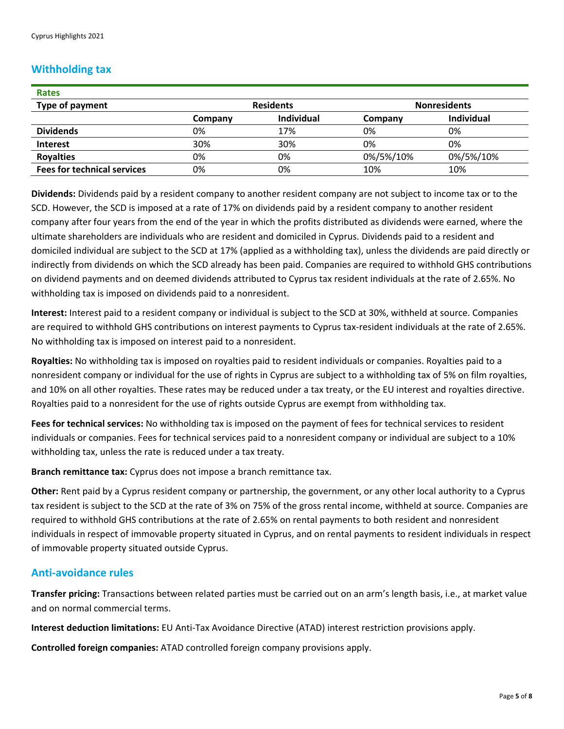# **Withholding tax**

| <b>Rates</b>                       |                  |                   |                     |            |
|------------------------------------|------------------|-------------------|---------------------|------------|
| Type of payment                    | <b>Residents</b> |                   | <b>Nonresidents</b> |            |
|                                    | Company          | <b>Individual</b> | Company             | Individual |
| <b>Dividends</b>                   | 0%               | 17%               | 0%                  | 0%         |
| Interest                           | 30%              | 30%               | 0%                  | 0%         |
| <b>Royalties</b>                   | 0%               | 0%                | 0%/5%/10%           | 0%/5%/10%  |
| <b>Fees for technical services</b> | 0%               | 0%                | 10%                 | 10%        |

**Dividends:** Dividends paid by a resident company to another resident company are not subject to income tax or to the SCD. However, the SCD is imposed at a rate of 17% on dividends paid by a resident company to another resident company after four years from the end of the year in which the profits distributed as dividends were earned, where the ultimate shareholders are individuals who are resident and domiciled in Cyprus. Dividends paid to a resident and domiciled individual are subject to the SCD at 17% (applied as a withholding tax), unless the dividends are paid directly or indirectly from dividends on which the SCD already has been paid. Companies are required to withhold GHS contributions on dividend payments and on deemed dividends attributed to Cyprus tax resident individuals at the rate of 2.65%. No withholding tax is imposed on dividends paid to a nonresident.

**Interest:** Interest paid to a resident company or individual is subject to the SCD at 30%, withheld at source. Companies are required to withhold GHS contributions on interest payments to Cyprus tax-resident individuals at the rate of 2.65%. No withholding tax is imposed on interest paid to a nonresident.

**Royalties:** No withholding tax is imposed on royalties paid to resident individuals or companies. Royalties paid to a nonresident company or individual for the use of rights in Cyprus are subject to a withholding tax of 5% on film royalties, and 10% on all other royalties. These rates may be reduced under a tax treaty, or the EU interest and royalties directive. Royalties paid to a nonresident for the use of rights outside Cyprus are exempt from withholding tax.

**Fees for technical services:** No withholding tax is imposed on the payment of fees for technical services to resident individuals or companies. Fees for technical services paid to a nonresident company or individual are subject to a 10% withholding tax, unless the rate is reduced under a tax treaty.

**Branch remittance tax:** Cyprus does not impose a branch remittance tax.

**Other:** Rent paid by a Cyprus resident company or partnership, the government, or any other local authority to a Cyprus tax resident is subject to the SCD at the rate of 3% on 75% of the gross rental income, withheld at source. Companies are required to withhold GHS contributions at the rate of 2.65% on rental payments to both resident and nonresident individuals in respect of immovable property situated in Cyprus, and on rental payments to resident individuals in respect of immovable property situated outside Cyprus.

#### **Anti‐avoidance rules**

**Transfer pricing:** Transactions between related parties must be carried out on an arm's length basis, i.e., at market value and on normal commercial terms.

**Interest deduction limitations:** EU Anti‐Tax Avoidance Directive (ATAD) interest restriction provisions apply.

**Controlled foreign companies:** ATAD controlled foreign company provisions apply.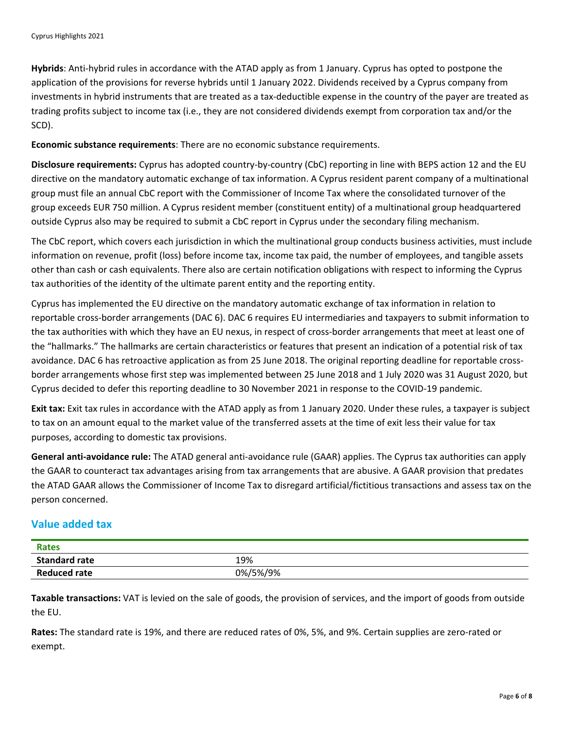**Hybrids**: Anti‐hybrid rules in accordance with the ATAD apply as from 1 January. Cyprus has opted to postpone the application of the provisions for reverse hybrids until 1 January 2022. Dividends received by a Cyprus company from investments in hybrid instruments that are treated as a tax‐deductible expense in the country of the payer are treated as trading profits subject to income tax (i.e., they are not considered dividends exempt from corporation tax and/or the SCD).

**Economic substance requirements**: There are no economic substance requirements.

**Disclosure requirements:** Cyprus has adopted country‐by‐country (CbC) reporting in line with BEPS action 12 and the EU directive on the mandatory automatic exchange of tax information. A Cyprus resident parent company of a multinational group must file an annual CbC report with the Commissioner of Income Tax where the consolidated turnover of the group exceeds EUR 750 million. A Cyprus resident member (constituent entity) of a multinational group headquartered outside Cyprus also may be required to submit a CbC report in Cyprus under the secondary filing mechanism.

The CbC report, which covers each jurisdiction in which the multinational group conducts business activities, must include information on revenue, profit (loss) before income tax, income tax paid, the number of employees, and tangible assets other than cash or cash equivalents. There also are certain notification obligations with respect to informing the Cyprus tax authorities of the identity of the ultimate parent entity and the reporting entity.

Cyprus has implemented the EU directive on the mandatory automatic exchange of tax information in relation to reportable cross‐border arrangements (DAC 6). DAC 6 requires EU intermediaries and taxpayers to submit information to the tax authorities with which they have an EU nexus, in respect of cross-border arrangements that meet at least one of the "hallmarks." The hallmarks are certain characteristics or features that present an indication of a potential risk of tax avoidance. DAC 6 has retroactive application as from 25 June 2018. The original reporting deadline for reportable crossborder arrangements whose first step was implemented between 25 June 2018 and 1 July 2020 was 31 August 2020, but Cyprus decided to defer this reporting deadline to 30 November 2021 in response to the COVID‐19 pandemic.

**Exit tax:** Exit tax rules in accordance with the ATAD apply as from 1 January 2020. Under these rules, a taxpayer is subject to tax on an amount equal to the market value of the transferred assets at the time of exit less their value for tax purposes, according to domestic tax provisions.

**General anti‐avoidance rule:** The ATAD general anti‐avoidance rule (GAAR) applies. The Cyprus tax authorities can apply the GAAR to counteract tax advantages arising from tax arrangements that are abusive. A GAAR provision that predates the ATAD GAAR allows the Commissioner of Income Tax to disregard artificial/fictitious transactions and assess tax on the person concerned.

# **Value added tax**

| <b>Rates</b>         |          |
|----------------------|----------|
| <b>Standard rate</b> | 19%      |
| <b>Reduced rate</b>  | 0%/5%/9% |

**Taxable transactions:** VAT is levied on the sale of goods, the provision of services, and the import of goods from outside the EU.

**Rates:** The standard rate is 19%, and there are reduced rates of 0%, 5%, and 9%. Certain supplies are zero‐rated or exempt.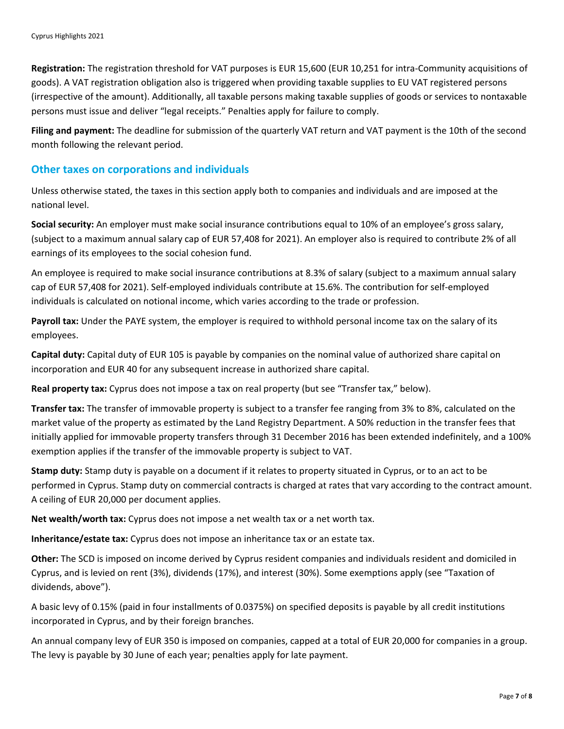**Registration:** The registration threshold for VAT purposes is EUR 15,600 (EUR 10,251 for intra‐Community acquisitions of goods). A VAT registration obligation also is triggered when providing taxable supplies to EU VAT registered persons (irrespective of the amount). Additionally, all taxable persons making taxable supplies of goods or services to nontaxable persons must issue and deliver "legal receipts." Penalties apply for failure to comply.

**Filing and payment:** The deadline for submission of the quarterly VAT return and VAT payment is the 10th of the second month following the relevant period.

#### **Other taxes on corporations and individuals**

Unless otherwise stated, the taxes in this section apply both to companies and individuals and are imposed at the national level.

**Social security:** An employer must make social insurance contributions equal to 10% of an employee's gross salary, (subject to a maximum annual salary cap of EUR 57,408 for 2021). An employer also is required to contribute 2% of all earnings of its employees to the social cohesion fund.

An employee is required to make social insurance contributions at 8.3% of salary (subject to a maximum annual salary cap of EUR 57,408 for 2021). Self‐employed individuals contribute at 15.6%. The contribution for self‐employed individuals is calculated on notional income, which varies according to the trade or profession.

**Payroll tax:** Under the PAYE system, the employer is required to withhold personal income tax on the salary of its employees.

**Capital duty:** Capital duty of EUR 105 is payable by companies on the nominal value of authorized share capital on incorporation and EUR 40 for any subsequent increase in authorized share capital.

**Real property tax:** Cyprus does not impose a tax on real property (but see "Transfer tax," below).

**Transfer tax:** The transfer of immovable property is subject to a transfer fee ranging from 3% to 8%, calculated on the market value of the property as estimated by the Land Registry Department. A 50% reduction in the transfer fees that initially applied for immovable property transfers through 31 December 2016 has been extended indefinitely, and a 100% exemption applies if the transfer of the immovable property is subject to VAT.

**Stamp duty:** Stamp duty is payable on a document if it relates to property situated in Cyprus, or to an act to be performed in Cyprus. Stamp duty on commercial contracts is charged at rates that vary according to the contract amount. A ceiling of EUR 20,000 per document applies.

**Net wealth/worth tax:** Cyprus does not impose a net wealth tax or a net worth tax.

**Inheritance/estate tax:** Cyprus does not impose an inheritance tax or an estate tax.

**Other:** The SCD is imposed on income derived by Cyprus resident companies and individuals resident and domiciled in Cyprus, and is levied on rent (3%), dividends (17%), and interest (30%). Some exemptions apply (see "Taxation of dividends, above").

A basic levy of 0.15% (paid in four installments of 0.0375%) on specified deposits is payable by all credit institutions incorporated in Cyprus, and by their foreign branches.

An annual company levy of EUR 350 is imposed on companies, capped at a total of EUR 20,000 for companies in a group. The levy is payable by 30 June of each year; penalties apply for late payment.